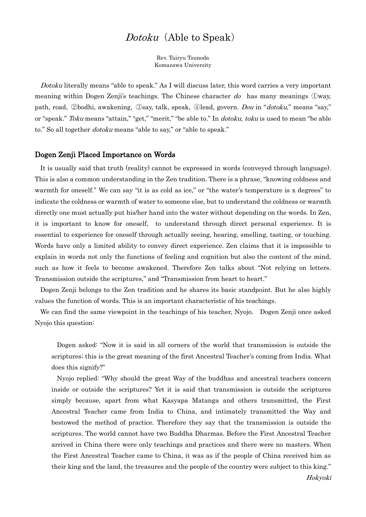# Dotoku (Able to Speak)

Rev. Tairyu Tsunoda Komazawa University

Dotoku literally means "able to speak." As I will discuss later, this word carries a very important meaning within Dogen Zenji's teachings. The Chinese character  $d\sigma$  has many meanings  $\mathbb{Q}$ way, path, road, ②bodhi, awakening, ③say, talk, speak, ④lead, govern. Dou in "dotoku," means "say," or "speak." Toku means "attain," "get," "merit," "be able to." In dotoku, toku is used to mean "be able to." So all together *dotoku* means "able to say," or "able to speak."

#### Dogen Zenji Placed Importance on Words

It is usually said that truth (reality) cannot be expressed in words (conveyed through language). This is also a common understanding in the Zen tradition. There is a phrase, "knowing coldness and warmth for oneself." We can say "it is as cold as ice," or "the water's temperature is x degrees" to indicate the coldness or warmth of water to someone else, but to understand the coldness or warmth directly one must actually put his/her hand into the water without depending on the words. In Zen, it is important to know for oneself, to understand through direct personal experience. It is essential to experience for oneself through actually seeing, hearing, smelling, tasting, or touching. Words have only a limited ability to convey direct experience. Zen claims that it is impossible to explain in words not only the functions of feeling and cognition but also the content of the mind, such as how it feels to become awakened. Therefore Zen talks about "Not relying on letters. Transmission outside the scriptures," and "Transmission from heart to heart."

Dogen Zenji belongs to the Zen tradition and he shares its basic standpoint. But he also highly values the function of words. This is an important characteristic of his teachings.

We can find the same viewpoint in the teachings of his teacher, Nyojo. Dogen Zenji once asked Nyojo this question:

Dogen asked: "Now it is said in all corners of the world that transmission is outside the scriptures; this is the great meaning of the first Ancestral Teacher's coming from India. What does this signify?"

Nyojo replied: "Why should the great Way of the buddhas and ancestral teachers concern inside or outside the scriptures? Yet it is said that transmission is outside the scriptures simply because, apart from what Kasyapa Matanga and others transmitted, the First Ancestral Teacher came from India to China, and intimately transmitted the Way and bestowed the method of practice. Therefore they say that the transmission is outside the scriptures. The world cannot have two Buddha Dharmas. Before the First Ancestral Teacher arrived in China there were only teachings and practices and there were no masters. When the First Ancestral Teacher came to China, it was as if the people of China received him as their king and the land, the treasures and the people of the country were subject to this king."

Hokyoki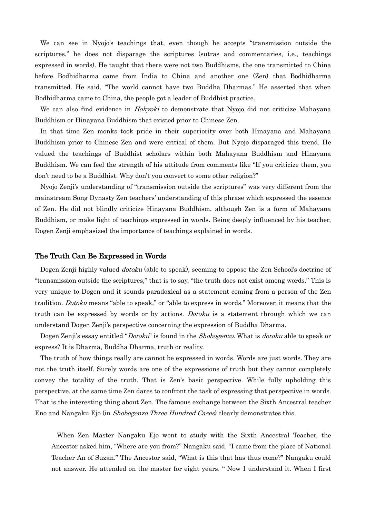We can see in Nyojo's teachings that, even though he accepts "transmission outside the scriptures," he does not disparage the scriptures (sutras and commentaries, i.e., teachings expressed in words). He taught that there were not two Buddhisms, the one transmitted to China before Bodhidharma came from India to China and another one (Zen) that Bodhidharma transmitted. He said, "The world cannot have two Buddha Dharmas." He asserted that when Bodhidharma came to China, the people got a leader of Buddhist practice.

We can also find evidence in *Hokyoki* to demonstrate that Nyojo did not criticize Mahayana Buddhism or Hinayana Buddhism that existed prior to Chinese Zen.

In that time Zen monks took pride in their superiority over both Hinayana and Mahayana Buddhism prior to Chinese Zen and were critical of them. But Nyojo disparaged this trend. He valued the teachings of Buddhist scholars within both Mahayana Buddhism and Hinayana Buddhism. We can feel the strength of his attitude from comments like "If you criticize them, you don't need to be a Buddhist. Why don't you convert to some other religion?"

Nyojo Zenji's understanding of "transmission outside the scriptures" was very different from the mainstream Song Dynasty Zen teachers' understanding of this phrase which expressed the essence of Zen. He did not blindly criticize Hinayana Buddhism, although Zen is a form of Mahayana Buddhism, or make light of teachings expressed in words. Being deeply influenced by his teacher, Dogen Zenji emphasized the importance of teachings explained in words.

## The Truth Can Be Expressed in Words

Dogen Zenji highly valued *dotoku* (able to speak), seeming to oppose the Zen School's doctrine of "transmission outside the scriptures," that is to say, "the truth does not exist among words." This is very unique to Dogen and it sounds paradoxical as a statement coming from a person of the Zen tradition. Dotoku means "able to speak," or "able to express in words." Moreover, it means that the truth can be expressed by words or by actions. Dotoku is a statement through which we can understand Dogen Zenji's perspective concerning the expression of Buddha Dharma.

Dogen Zenji's essay entitled "*Dotoku*" is found in the *Shobogenzo*. What is *dotoku* able to speak or express? It is Dharma, Buddha Dharma, truth or reality.

The truth of how things really are cannot be expressed in words. Words are just words. They are not the truth itself. Surely words are one of the expressions of truth but they cannot completely convey the totality of the truth. That is Zen's basic perspective. While fully upholding this perspective, at the same time Zen dares to confront the task of expressing that perspective in words. That is the interesting thing about Zen. The famous exchange between the Sixth Ancestral teacher Eno and Nangaku Ejo (in Shobogenzo Three Hundred Cases) clearly demonstrates this.

When Zen Master Nangaku Ejo went to study with the Sixth Ancestral Teacher, the Ancestor asked him, "Where are you from?" Nangaku said, "I came from the place of National Teacher An of Suzan." The Ancestor said, "What is this that has thus come?" Nangaku could not answer. He attended on the master for eight years. " Now I understand it. When I first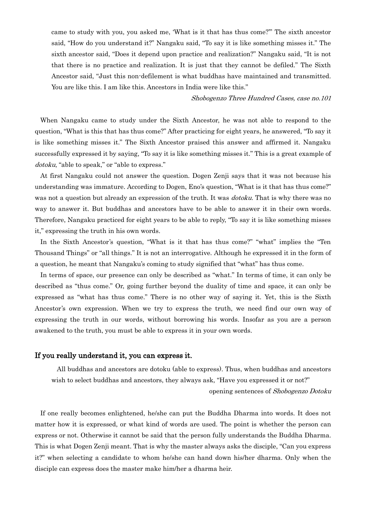came to study with you, you asked me, 'What is it that has thus come?'" The sixth ancestor said, "How do you understand it?" Nangaku said, "To say it is like something misses it." The sixth ancestor said, "Does it depend upon practice and realization?" Nangaku said, "It is not that there is no practice and realization. It is just that they cannot be defiled." The Sixth Ancestor said, "Just this non-defilement is what buddhas have maintained and transmitted. You are like this. I am like this. Ancestors in India were like this."

#### Shobogenzo Three Hundred Cases, case no.101

When Nangaku came to study under the Sixth Ancestor, he was not able to respond to the question, "What is this that has thus come?" After practicing for eight years, he answered, "To say it is like something misses it." The Sixth Ancestor praised this answer and affirmed it. Nangaku successfully expressed it by saying, "To say it is like something misses it." This is a great example of dotoku, "able to speak," or "able to express."

At first Nangaku could not answer the question. Dogen Zenji says that it was not because his understanding was immature. According to Dogen, Eno's question, "What is it that has thus come?" was not a question but already an expression of the truth. It was *dotoku*. That is why there was no way to answer it. But buddhas and ancestors have to be able to answer it in their own words. Therefore, Nangaku practiced for eight years to be able to reply, "To say it is like something misses it," expressing the truth in his own words.

In the Sixth Ancestor's question, "What is it that has thus come?" "what" implies the "Ten Thousand Things" or "all things." It is not an interrogative. Although he expressed it in the form of a question, he meant that Nangaku's coming to study signified that "what" has thus come.

In terms of space, our presence can only be described as "what." In terms of time, it can only be described as "thus come." Or, going further beyond the duality of time and space, it can only be expressed as "what has thus come." There is no other way of saying it. Yet, this is the Sixth Ancestor's own expression. When we try to express the truth, we need find our own way of expressing the truth in our words, without borrowing his words. Insofar as you are a person awakened to the truth, you must be able to express it in your own words.

## If you really understand it, you can express it.

All buddhas and ancestors are dotoku (able to express). Thus, when buddhas and ancestors wish to select buddhas and ancestors, they always ask, "Have you expressed it or not?"

opening sentences of Shobogenzo Dotoku

If one really becomes enlightened, he/she can put the Buddha Dharma into words. It does not matter how it is expressed, or what kind of words are used. The point is whether the person can express or not. Otherwise it cannot be said that the person fully understands the Buddha Dharma. This is what Dogen Zenji meant. That is why the master always asks the disciple, "Can you express it?" when selecting a candidate to whom he/she can hand down his/her dharma. Only when the disciple can express does the master make him/her a dharma heir.